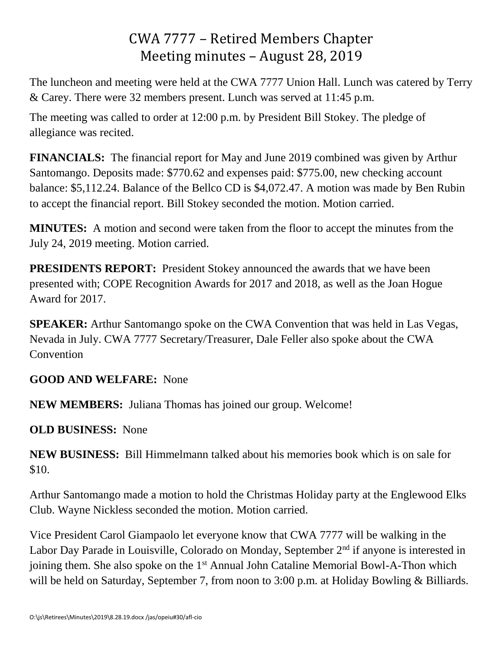# CWA 7777 – Retired Members Chapter Meeting minutes – August 28, 2019

The luncheon and meeting were held at the CWA 7777 Union Hall. Lunch was catered by Terry & Carey. There were 32 members present. Lunch was served at 11:45 p.m.

The meeting was called to order at 12:00 p.m. by President Bill Stokey. The pledge of allegiance was recited.

**FINANCIALS:** The financial report for May and June 2019 combined was given by Arthur Santomango. Deposits made: \$770.62 and expenses paid: \$775.00, new checking account balance: \$5,112.24. Balance of the Bellco CD is \$4,072.47. A motion was made by Ben Rubin to accept the financial report. Bill Stokey seconded the motion. Motion carried.

**MINUTES:** A motion and second were taken from the floor to accept the minutes from the July 24, 2019 meeting. Motion carried.

**PRESIDENTS REPORT:** President Stokey announced the awards that we have been presented with; COPE Recognition Awards for 2017 and 2018, as well as the Joan Hogue Award for 2017.

**SPEAKER:** Arthur Santomango spoke on the CWA Convention that was held in Las Vegas, Nevada in July. CWA 7777 Secretary/Treasurer, Dale Feller also spoke about the CWA **Convention** 

### **GOOD AND WELFARE:** None

**NEW MEMBERS:** Juliana Thomas has joined our group. Welcome!

**OLD BUSINESS:** None

**NEW BUSINESS:** Bill Himmelmann talked about his memories book which is on sale for \$10.

Arthur Santomango made a motion to hold the Christmas Holiday party at the Englewood Elks Club. Wayne Nickless seconded the motion. Motion carried.

Vice President Carol Giampaolo let everyone know that CWA 7777 will be walking in the Labor Day Parade in Louisville, Colorado on Monday, September 2<sup>nd</sup> if anyone is interested in joining them. She also spoke on the 1<sup>st</sup> Annual John Cataline Memorial Bowl-A-Thon which will be held on Saturday, September 7, from noon to 3:00 p.m. at Holiday Bowling & Billiards.